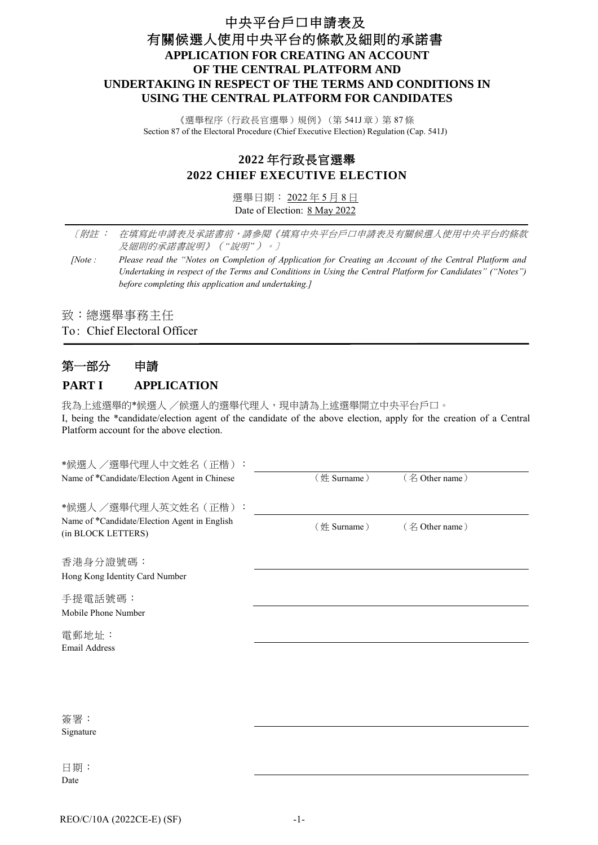### 中央平台戶口申請表及 有關候選人使用中央平台的條款及細則的承諾書 **APPLICATION FOR CREATING AN ACCOUNT OF THE CENTRAL PLATFORM AND UNDERTAKING IN RESPECT OF THE TERMS AND CONDITIONS IN USING THE CENTRAL PLATFORM FOR CANDIDATES**

《選舉程序(行政長官選舉)規例》(第 541J 章) 第 87 條 Section 87 of the Electoral Procedure (Chief Executive Election) Regulation (Cap. 541J)

### **2022** 年行政長官選舉 **2022 CHIEF EXECUTIVE ELECTION**

選舉日期: 2022 年 5 月 8 日 Date of Election: 8 May 2022

〔附註 : 在填寫此申請表及承諾書前,請參閱《填寫中央平台戶口申請表及有關候選人使用中央平台的條款 及細則的承諾書說明》(*"*說明*"*)。〕

*[Note : Please read the "Notes on Completion of Application for Creating an Account of the Central Platform and Undertaking in respect of the Terms and Conditions in Using the Central Platform for Candidates" ("Notes") before completing this application and undertaking.]*

致:總選舉事務主任

To: Chief Electoral Officer

### 第一部分 申請 **PART I APPLICATION**

我為上述選舉的\*候選人 /候選人的選舉代理人,現申請為上述選舉開立中央平台戶口。

I, being the \*candidate/election agent of the candidate of the above election, apply for the creation of a Central Platform account for the above election.

| *候選人 /選舉代理人中文姓名(正楷)                                                |             |                |  |
|--------------------------------------------------------------------|-------------|----------------|--|
| Name of *Candidate/Election Agent in Chinese                       | (姓 Surname) | (名 Other name) |  |
| *候選人 /選舉代理人英文姓名(正楷):                                               |             |                |  |
| Name of *Candidate/Election Agent in English<br>(in BLOCK LETTERS) | (姓 Surname) | (名 Other name) |  |
| 香港身分證號碼:                                                           |             |                |  |
| Hong Kong Identity Card Number                                     |             |                |  |
| 手提電話號碼:                                                            |             |                |  |
| Mobile Phone Number                                                |             |                |  |
| 電郵地址:                                                              |             |                |  |
| <b>Email Address</b>                                               |             |                |  |
|                                                                    |             |                |  |
|                                                                    |             |                |  |
|                                                                    |             |                |  |
| 簽署:                                                                |             |                |  |
| Signature                                                          |             |                |  |
|                                                                    |             |                |  |
| 日期:                                                                |             |                |  |
| Date                                                               |             |                |  |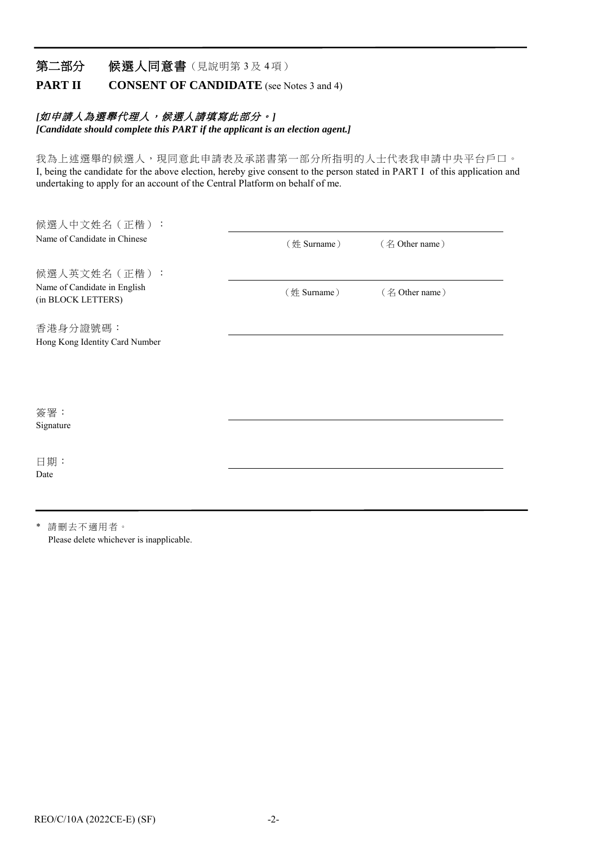### 第二部分 候選人同意書(見說明第3及4項)

**PART II CONSENT OF CANDIDATE** (see Notes 3 and 4)

#### [如申請人為選舉代理人,候選人請填寫此部分。]

*[Candidate should complete this PART if the applicant is an election agent.]*

我為上述選舉的候選人,現同意此申請表及承諾書第一部分所指明的人士代表我申請中央平台戶口。 I, being the candidate for the above election, hereby give consent to the person stated in PART I of this application and undertaking to apply for an account of the Central Platform on behalf of me.

| 候選人中文姓名 (正楷):                                      |             |                |
|----------------------------------------------------|-------------|----------------|
| Name of Candidate in Chinese                       | (姓 Surname) | (名 Other name) |
| 候選人英文姓名 (正楷):                                      |             |                |
| Name of Candidate in English<br>(in BLOCK LETTERS) | (姓 Surname) | (名 Other name) |
| 香港身分證號碼:                                           |             |                |
| Hong Kong Identity Card Number                     |             |                |
|                                                    |             |                |
|                                                    |             |                |
| 簽署:                                                |             |                |
| Signature                                          |             |                |
| 日期:                                                |             |                |
| Date                                               |             |                |
|                                                    |             |                |

\* 請刪去不適用者。 Please delete whichever is inapplicable.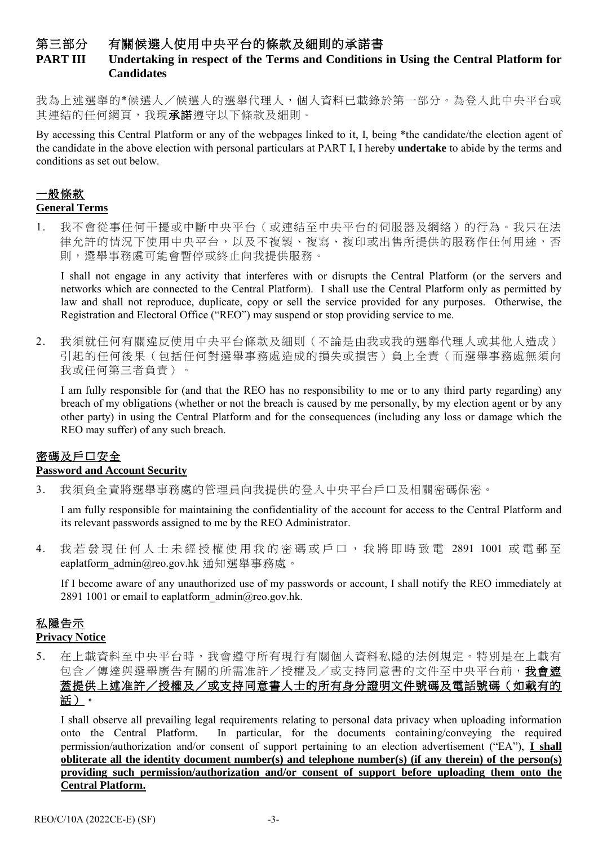### 第三部分 有關候選人使用中央平台的條款及細則的承諾書

### **PART III Undertaking in respect of the Terms and Conditions in Using the Central Platform for Candidates**

我為上述選舉的\*候選人/候選人的選舉代理人,個人資料已載錄於第一部分。為登入此中央平台或 其連結的任何網頁,我現承諾遵守以下條款及細則。

By accessing this Central Platform or any of the webpages linked to it, I, being \*the candidate/the election agent of the candidate in the above election with personal particulars at PART I, I hereby **undertake** to abide by the terms and conditions as set out below.

# 一般條款

#### **General Terms**

1. 我不會從事任何干擾或中斷中央平台(或連結至中央平台的伺服器及網絡)的行為。我只在法 律允許的情況下使用中央平台,以及不複製、複寫、複印或出售所提供的服務作任何用途,否 則,選舉事務處可能會暫停或終止向我提供服務。

I shall not engage in any activity that interferes with or disrupts the Central Platform (or the servers and networks which are connected to the Central Platform). I shall use the Central Platform only as permitted by law and shall not reproduce, duplicate, copy or sell the service provided for any purposes. Otherwise, the Registration and Electoral Office ("REO") may suspend or stop providing service to me.

2. 我須就任何有關違反使用中央平台條款及細則(不論是由我或我的選舉代理人或其他人造成) 引起的任何後果(包括任何對選舉事務處造成的損失或損害)負上全責(而選舉事務處無須向 我或任何第三者負責)。

I am fully responsible for (and that the REO has no responsibility to me or to any third party regarding) any breach of my obligations (whether or not the breach is caused by me personally, by my election agent or by any other party) in using the Central Platform and for the consequences (including any loss or damage which the REO may suffer) of any such breach.

### 密碼及戶口安全

#### **Password and Account Security**

3. 我須負全責將選舉事務處的管理員向我提供的登入中央平台戶口及相關密碼保密。

I am fully responsible for maintaining the confidentiality of the account for access to the Central Platform and its relevant passwords assigned to me by the REO Administrator.

4. 我若發現任何人士未經授權使用我的密碼或戶口, 我 將 即時致電 2891 1001 或電郵至 eaplatform admin@reo.gov.hk 通知選舉事務處。

If I become aware of any unauthorized use of my passwords or account, I shall notify the REO immediately at 2891 1001 or email to eaplatform  $\alpha$ dmin $\alpha$ reo.gov.hk.

## 私隱告示

### **Privacy Notice**

5. 在上載資料至中央平台時,我會遵守所有現行有關個人資料私隱的法例規定。特別是在上載有 包含/傳達與選舉廣告有關的所需准許/授權及/或支持同意書的文件至中央平台前,我會遮 蓋提供上述准許/授權及/或支持同意書人士的所有身分證明文件號碼及電話號碼(如載有的 話)。

I shall observe all prevailing legal requirements relating to personal data privacy when uploading information onto the Central Platform. In particular, for the documents containing/conveying the required permission/authorization and/or consent of support pertaining to an election advertisement ("EA"), **I shall obliterate all the identity document number(s) and telephone number(s) (if any therein) of the person(s) providing such permission/authorization and/or consent of support before uploading them onto the Central Platform.**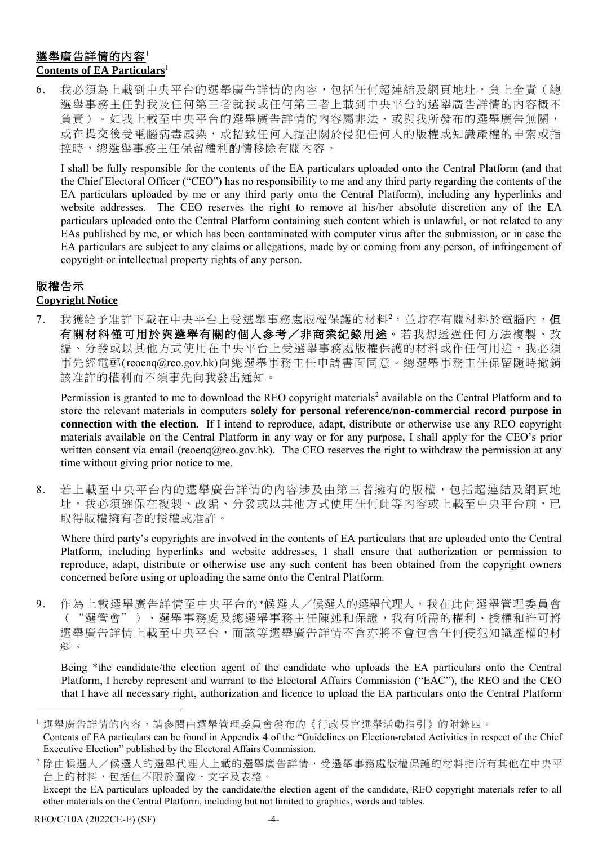### 選舉廣告詳情的內容<sup>1</sup> **Contents of EA Particulars**<sup>1</sup>

6. 我必須為上載到中央平台的選舉廣告詳情的內容,包括任何超連結及網頁地址,負上全責(總 選舉事務主任對我及任何第三者就我或任何第三者上載到中央平台的選舉廣告詳情的內容概不 負責)。如我上載至中央平台的選舉廣告詳情的內容屬非法、或與我所發布的選舉廣告無關, 或在提交後受電腦病毒感染,或招致任何人提出關於侵犯任何人的版權或知識產權的申索或指 控時,總選舉事務主任保留權利酌情移除有關內容。

I shall be fully responsible for the contents of the EA particulars uploaded onto the Central Platform (and that the Chief Electoral Officer ("CEO") has no responsibility to me and any third party regarding the contents of the EA particulars uploaded by me or any third party onto the Central Platform), including any hyperlinks and website addresses. The CEO reserves the right to remove at his/her absolute discretion any of the EA particulars uploaded onto the Central Platform containing such content which is unlawful, or not related to any EAs published by me, or which has been contaminated with computer virus after the submission, or in case the EA particulars are subject to any claims or allegations, made by or coming from any person, of infringement of copyright or intellectual property rights of any person.

### 版權告示

### **Copyright Notice**

7. 我獲給予准許下載在中央平台上受選舉事務處版權保護的材料<sup>2,</sup>並貯存有關材料於電腦內, 但 有關材料僅可用於與選舉有關的個人參考/非商業紀錄用途。若我想透過任何方法複製、改 編、分發或以其他方式使用在中央平台上受選舉事務處版權保護的材料或作任何用途,我必須 事先經電郵(reoenq@reo.gov.hk)向總選舉事務主任申請書面同意。總選舉事務主任保留隨時撤銷 該准許的權利而不須事先向我發出通知。

Permission is granted to me to download the REO copyright materials<sup>2</sup> available on the Central Platform and to store the relevant materials in computers **solely for personal reference/non-commercial record purpose in connection with the election.** If I intend to reproduce, adapt, distribute or otherwise use any REO copyright materials available on the Central Platform in any way or for any purpose, I shall apply for the CEO's prior written consent via email (reoenq@reo.gov.hk). The CEO reserves the right to withdraw the permission at any time without giving prior notice to me.

8. 若上載至中央平台內的選舉廣告詳情的內容涉及由第三者擁有的版權,包括超連結及網頁地 址,我必須確保在複製、改編、分發或以其他方式使用任何此等內容或上載至中央平台前,已 取得版權擁有者的授權或准許。

Where third party's copyrights are involved in the contents of EA particulars that are uploaded onto the Central Platform, including hyperlinks and website addresses, I shall ensure that authorization or permission to reproduce, adapt, distribute or otherwise use any such content has been obtained from the copyright owners concerned before using or uploading the same onto the Central Platform.

9. 作為上載選舉廣告詳情至中央平台的\*候選人/候選人的選舉代理人,我在此向選舉管理委員會 ("選管會")、選舉事務處及總選舉事務主任陳述和保證,我有所需的權利、授權和許可將 選舉廣告詳情上載至中央平台,而該等選舉廣告詳情不含亦將不會包含任何侵犯知識產權的材 料。

Being \*the candidate/the election agent of the candidate who uploads the EA particulars onto the Central Platform, I hereby represent and warrant to the Electoral Affairs Commission ("EAC"), the REO and the CEO that I have all necessary right, authorization and licence to upload the EA particulars onto the Central Platform

-

選舉廣告詳情的內容,請參閱由選舉管理委員會發布的《行政長官選舉活動指引》的附錄四。

Contents of EA particulars can be found in Appendix 4 of the "Guidelines on Election-related Activities in respect of the Chief Executive Election" published by the Electoral Affairs Commission.

除由候選人/候選人的選舉代理人上載的選舉廣告詳情,受選舉事務處版權保護的材料指所有其他在中央平 台上的材料,包括但不限於圖像、文字及表格。

Except the EA particulars uploaded by the candidate/the election agent of the candidate, REO copyright materials refer to all other materials on the Central Platform, including but not limited to graphics, words and tables.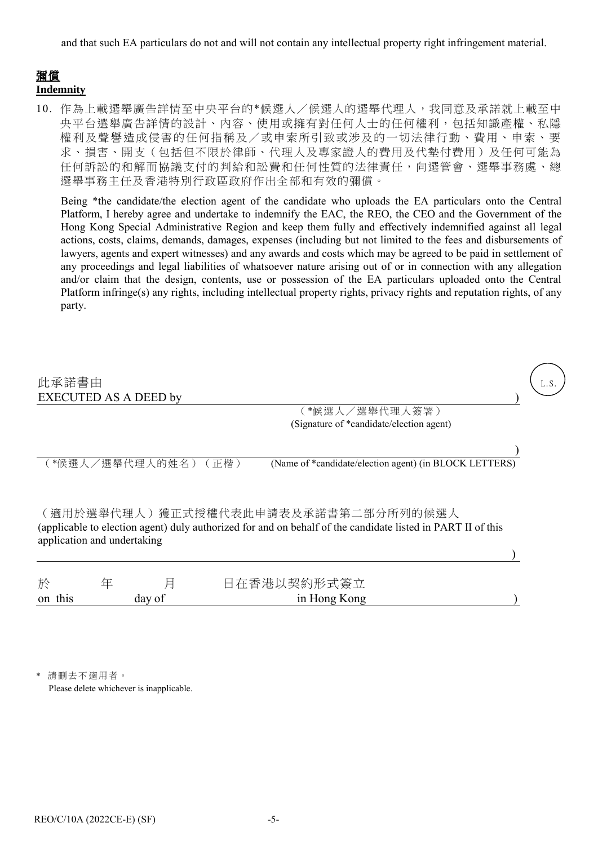and that such EA particulars do not and will not contain any intellectual property right infringement material.

### 彌償

**Indemnity**

10. 作為上載選舉廣告詳情至中央平台的\*候選人/候選人的選舉代理人,我同意及承諾就上載至中 央平台選舉廣告詳情的設計、內容、使用或擁有對任何人士的任何權利,包括知識產權、私隱 權利及聲譽造成侵害的任何指稱及/或申索所引致或涉及的一切法律行動、費用、申索、要 求、損害、開支(包括但不限於律師、代理人及專家證人的費用及代墊付費用)及任何可能為 任何訴訟的和解而協議支付的判給和訟費和任何性質的法律責任,向選管會、選舉事務處、總 選舉事務主任及香港特別行政區政府作出全部和有效的彌償。

Being \*the candidate/the election agent of the candidate who uploads the EA particulars onto the Central Platform, I hereby agree and undertake to indemnify the EAC, the REO, the CEO and the Government of the Hong Kong Special Administrative Region and keep them fully and effectively indemnified against all legal actions, costs, claims, demands, damages, expenses (including but not limited to the fees and disbursements of lawyers, agents and expert witnesses) and any awards and costs which may be agreed to be paid in settlement of any proceedings and legal liabilities of whatsoever nature arising out of or in connection with any allegation and/or claim that the design, contents, use or possession of the EA particulars uploaded onto the Central Platform infringe(s) any rights, including intellectual property rights, privacy rights and reputation rights, of any party.

| 此承諾書由                                                                                                                                                                             | <b>EXECUTED AS A DEED by</b> |   |      |                                                            |  |  |  |
|-----------------------------------------------------------------------------------------------------------------------------------------------------------------------------------|------------------------------|---|------|------------------------------------------------------------|--|--|--|
|                                                                                                                                                                                   |                              |   |      | 〔*候選人/選舉代理人簽署)<br>(Signature of *candidate/election agent) |  |  |  |
|                                                                                                                                                                                   | 〔*候選人/選舉代理人的姓名)              |   | (正楷) | (Name of *candidate/election agent) (in BLOCK LETTERS)     |  |  |  |
| (適用於選舉代理人)獲正式授權代表此申請表及承諾書第二部分所列的候選人<br>(applicable to election agent) duly authorized for and on behalf of the candidate listed in PART II of this<br>application and undertaking |                              |   |      |                                                            |  |  |  |
| 於                                                                                                                                                                                 |                              | 片 |      | 日在香港以契約形式簽立                                                |  |  |  |

on this day of in Hong Kong )

請刪去不適用者。 Please delete whichever is inapplicable.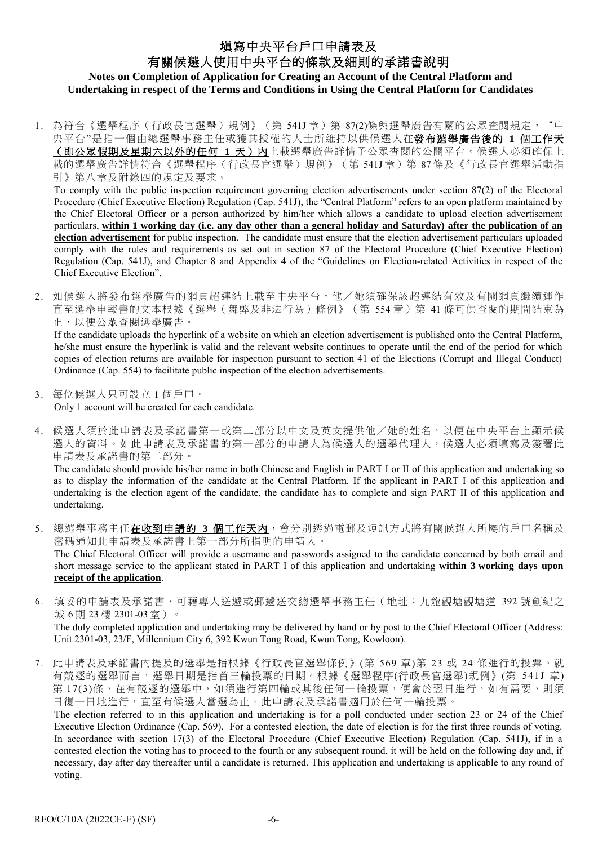### 塡寫中央平台戶口申請表及 有關候選人使用中央平台的條款及細則的承諾書說明 **Notes on Completion of Application for Creating an Account of the Central Platform and Undertaking in respect of the Terms and Conditions in Using the Central Platform for Candidates**

1. 為符合《選舉程序(行政長官選舉)規例》(第 541J 章)第 87(2)條與選舉廣告有關的公眾查閱規定, "中 央平台"是指一個由總選舉事務主任或獲其授權的人士所維持以供候選人在發布選舉廣告後的 **1** 個工作天 (即公眾假期及星期六以外的任何 **1** 天)內上載選舉廣告詳情予公眾查閱的公開平台。候選人必須確保上 載的選舉廣告詳情符合《選舉程序(行政長官選舉)規例》(第 541J章)第 87條及《行政長官選舉活動指 引》第八章及附錄四的規定及要求。

To comply with the public inspection requirement governing election advertisements under section 87(2) of the Electoral Procedure (Chief Executive Election) Regulation (Cap. 541J), the "Central Platform" refers to an open platform maintained by the Chief Electoral Officer or a person authorized by him/her which allows a candidate to upload election advertisement particulars, **within 1 working day (i.e. any day other than a general holiday and Saturday) after the publication of an election advertisement** for public inspection. The candidate must ensure that the election advertisement particulars uploaded comply with the rules and requirements as set out in section 87 of the Electoral Procedure (Chief Executive Election) Regulation (Cap. 541J), and Chapter 8 and Appendix 4 of the "Guidelines on Election-related Activities in respect of the Chief Executive Election".

2. 如候選人將發布選舉廣告的網頁超連結上載至中央平台,他/她須確保該超連結有效及有關網頁繼續運作 直至選舉申報書的文本根據《選舉(舞弊及非法行為)條例》(第 554 章)第 41 條可供查閱的期間結束為 止,以便公眾查閱選舉廣告。

If the candidate uploads the hyperlink of a website on which an election advertisement is published onto the Central Platform, he/she must ensure the hyperlink is valid and the relevant website continues to operate until the end of the period for which copies of election returns are available for inspection pursuant to section 41 of the Elections (Corrupt and Illegal Conduct) Ordinance (Cap. 554) to facilitate public inspection of the election advertisements.

- 3. 每位候選人只可設立 1 個戶口。 Only 1 account will be created for each candidate.
- 4. 候選人須於此申請表及承諾書第一或第二部分以中文及英文提供他/她的姓名,以便在中央平台上顯示候 選人的資料。如此申請表及承諾書的第一部分的申請人為候選人的選舉代理人,候選人必須填寫及簽署此 申請表及承諾書的第二部分。

The candidate should provide his/her name in both Chinese and English in PART I or II of this application and undertaking so as to display the information of the candidate at the Central Platform. If the applicant in PART I of this application and undertaking is the election agent of the candidate, the candidate has to complete and sign PART II of this application and undertaking.

- 5. 總選舉事務主任在收到申請的 3 個工作天內,會分別透過電郵及短訊方式將有關候選人所屬的戶口名稱及 密碼通知此申請表及承諾書上第一部分所指明的申請人。 The Chief Electoral Officer will provide a username and passwords assigned to the candidate concerned by both email and short message service to the applicant stated in PART I of this application and undertaking **within 3 working days upon receipt of the application**.
- 6. 填妥的申請表及承諾書,可藉專人送遞或郵遞送交總選舉事務主任(地址:九龍觀塘觀塘道 392 號創紀之 城 6 期 23 樓 2301-03 室)。 The duly completed application and undertaking may be delivered by hand or by post to the Chief Electoral Officer (Address: Unit 2301-03, 23/F, Millennium City 6, 392 Kwun Tong Road, Kwun Tong, Kowloon).
- 7. 此申請表及承諾書內提及的選舉是指根據《行政長官選舉條例》(第 569 章)第 23 或 24 條進行的投票。就 有競逐的選舉而言,選舉日期是指首三輪投票的日期。根據《選舉程序(行政長官選舉)規例》(第 541J 章) 第17(3)條,在有競逐的選舉中,如須進行第四輪或其後任何一輪投票,便會於翌日進行,如有需要,則須 日復一日地進行,直至有候選人當選為止。此申請表及承諾書適用於任何一輪投票。

The election referred to in this application and undertaking is for a poll conducted under section 23 or 24 of the Chief Executive Election Ordinance (Cap. 569). For a contested election, the date of election is for the first three rounds of voting. In accordance with section 17(3) of the Electoral Procedure (Chief Executive Election) Regulation (Cap. 541J), if in a contested election the voting has to proceed to the fourth or any subsequent round, it will be held on the following day and, if necessary, day after day thereafter until a candidate is returned. This application and undertaking is applicable to any round of voting.